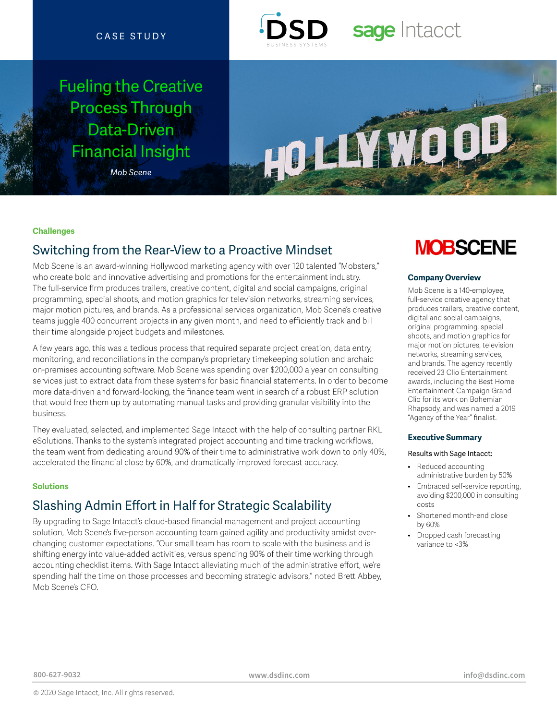### CASE STUDY

## Fueling the Creative Process Through Data-Driven Financial Insight

*Mob Scene*



# sage Intacct



### **Challenges**

### Switching from the Rear-View to a Proactive Mindset

Mob Scene is an award-winning Hollywood marketing agency with over 120 talented "Mobsters," who create bold and innovative advertising and promotions for the entertainment industry. The full-service firm produces trailers, creative content, digital and social campaigns, original programming, special shoots, and motion graphics for television networks, streaming services, major motion pictures, and brands. As a professional services organization, Mob Scene's creative teams juggle 400 concurrent projects in any given month, and need to efficiently track and bill their time alongside project budgets and milestones.

A few years ago, this was a tedious process that required separate project creation, data entry, monitoring, and reconciliations in the company's proprietary timekeeping solution and archaic on-premises accounting software. Mob Scene was spending over \$200,000 a year on consulting services just to extract data from these systems for basic financial statements. In order to become more data-driven and forward-looking, the finance team went in search of a robust ERP solution that would free them up by automating manual tasks and providing granular visibility into the business.

They evaluated, selected, and implemented Sage Intacct with the help of consulting partner RKL eSolutions. Thanks to the system's integrated project accounting and time tracking workflows, the team went from dedicating around 90% of their time to administrative work down to only 40%, accelerated the financial close by 60%, and dramatically improved forecast accuracy.

### **Solutions**

## Slashing Admin Effort in Half for Strategic Scalability

By upgrading to Sage Intacct's cloud-based financial management and project accounting solution, Mob Scene's five-person accounting team gained agility and productivity amidst everchanging customer expectations. "Our small team has room to scale with the business and is shifting energy into value-added activities, versus spending 90% of their time working through accounting checklist items. With Sage Intacct alleviating much of the administrative effort, we're spending half the time on those processes and becoming strategic advisors," noted Brett Abbey, Mob Scene's CFO.

## **MOBSCENE**

### **Company Overview**

Mob Scene is a 140-employee, full-service creative agency that produces trailers, creative content, digital and social campaigns, original programming, special shoots, and motion graphics for major motion pictures, television networks, streaming services, and brands. The agency recently received 23 Clio Entertainment awards, including the Best Home Entertainment Campaign Grand Clio for its work on Bohemian Rhapsody, and was named a 2019 "Agency of the Year" finalist.

### **Executive Summary**

#### Results with Sage Intacct:

- Reduced accounting administrative burden by 50%
- Embraced self-service reporting, avoiding \$200,000 in consulting costs
- Shortened month-end close by 60%
- Dropped cash forecasting variance to <3%